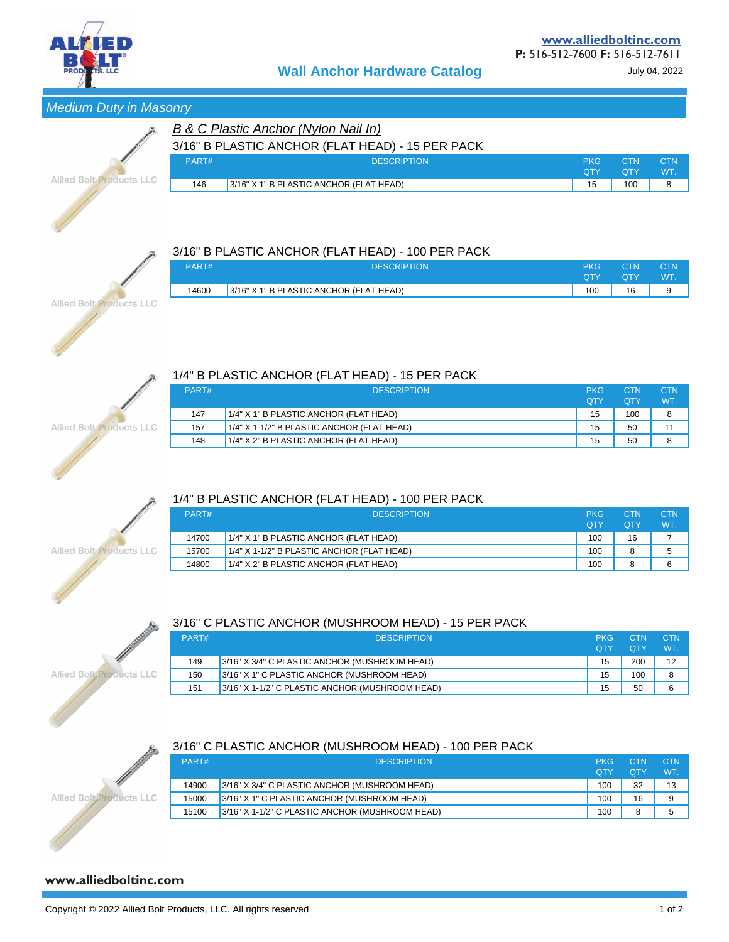

## Medium Duty in Masonry

|                                 |       | B & C Plastic Anchor (Nylon Nail In)             |            |            |            |
|---------------------------------|-------|--------------------------------------------------|------------|------------|------------|
|                                 |       | 3/16" B PLASTIC ANCHOR (FLAT HEAD) - 15 PER PACK |            |            |            |
|                                 | PART# | <b>DESCRIPTION</b>                               | <b>PKG</b> | CTN        | <b>CTN</b> |
|                                 |       |                                                  | <b>OTY</b> | <b>OTY</b> | <b>WT</b>  |
| <b>Allied Bolt Products LLC</b> | 146   | 3/16" X 1" B PLASTIC ANCHOR (FLAT HEAD)          | 15         | 100        | 8          |
|                                 |       |                                                  |            |            |            |



**Allied Bolt Products LLC** 

#### 3/16" B PLASTIC ANCHOR (FLAT HEAD) - 100 PER PACK

| PART# | <b>DESCRIPTION</b>                      | <b>PKG</b><br>OTY | <b>CTN</b><br>OTY | CTN<br>WT. |
|-------|-----------------------------------------|-------------------|-------------------|------------|
| 14600 | 3/16" X 1" B PLASTIC ANCHOR (FLAT HEAD) | 100               | 16                |            |
|       |                                         |                   |                   |            |

# 1/4" B PLASTIC ANCHOR (FLAT HEAD) - 15 PER PACK

| PART# | <b>DESCRIPTION</b>                         | <b>PKG</b> | CTN | <b>CTN</b> |
|-------|--------------------------------------------|------------|-----|------------|
|       |                                            | <b>OTY</b> | ОТҮ | WT.        |
| 147   | 1/4" X 1" B PLASTIC ANCHOR (FLAT HEAD)     | 15         | 100 | 8          |
| 157   | 1/4" X 1-1/2" B PLASTIC ANCHOR (FLAT HEAD) | 15         | 50  | 11         |
| 148   | 1/4" X 2" B PLASTIC ANCHOR (FLAT HEAD)     | 15         | 50  | 8          |

#### 1/4" B PLASTIC ANCHOR (FLAT HEAD) - 100 PER PACK

|                          | PART# | <b>DESCRIPTION</b>                            | <b>PKG</b><br><b>OTY</b> | <b>OTY</b> | <b>CTN</b><br>WT. |
|--------------------------|-------|-----------------------------------------------|--------------------------|------------|-------------------|
|                          | 14700 | 1/4" X 1" B PLASTIC ANCHOR (FLAT HEAD)        | 100                      | 16         |                   |
| Allied Bolt Products LLC | 15700 | $1/4$ " X 1-1/2" B PLASTIC ANCHOR (FLAT HEAD) | 100                      | ິ          |                   |
|                          | 14800 | 1/4" X 2" B PLASTIC ANCHOR (FLAT HEAD)        | 100                      |            | ൳                 |

# 3/16" C PLASTIC ANCHOR (MUSHROOM HEAD) - 15 PER PACK

| PART# | <b>DESCRIPTION</b>                              | <b>PKG</b><br><b>OTY</b> | <b>CTN</b><br><b>OTY</b> | <b>CTN</b><br>WT. |
|-------|-------------------------------------------------|--------------------------|--------------------------|-------------------|
| 149   | 3/16" X 3/4" C PLASTIC ANCHOR (MUSHROOM HEAD)   | 15                       | 200                      | 12                |
| 150   | 3/16" X 1" C PLASTIC ANCHOR (MUSHROOM HEAD)     | 15                       | 100                      | 8                 |
| 151   | 3/16" X 1-1/2" C PLASTIC ANCHOR (MUSHROOM HEAD) | 15                       | 50                       | 6                 |

# **Allied Bolt Products LLC**

#### 3/16" C PLASTIC ANCHOR (MUSHROOM HEAD) - 100 PER PACK

| <b>CANADAS</b> | PART# | <b>DESCRIPTION</b>                              | <b>PKG</b><br><b>OTY</b> | CTN<br><b>OTY</b> | <b>CTN</b><br><b>WT</b> |
|----------------|-------|-------------------------------------------------|--------------------------|-------------------|-------------------------|
|                | 14900 | 3/16" X 3/4" C PLASTIC ANCHOR (MUSHROOM HEAD)   | 100                      | 32                | 13                      |
| LLC.           | 15000 | 3/16" X 1" C PLASTIC ANCHOR (MUSHROOM HEAD)     | 100                      | 16                | 9                       |
|                | 15100 | 3/16" X 1-1/2" C PLASTIC ANCHOR (MUSHROOM HEAD) | 100                      | 8                 | 5                       |

### **www.alliedboltinc.com**

**Allied Bolt Products** 

**A**